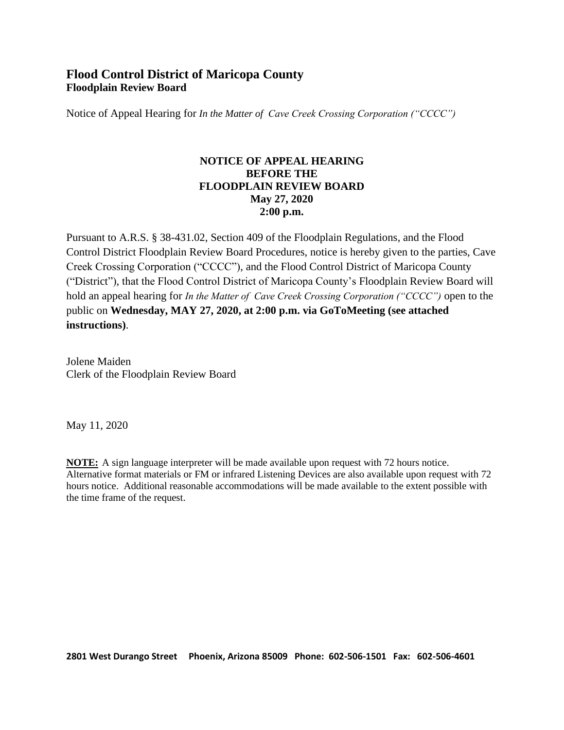# **Flood Control District of Maricopa County Floodplain Review Board**

Notice of Appeal Hearing for *In the Matter of Cave Creek Crossing Corporation ("CCCC")*

### **NOTICE OF APPEAL HEARING BEFORE THE FLOODPLAIN REVIEW BOARD May 27, 2020 2:00 p.m.**

Pursuant to A.R.S. § 38-431.02, Section 409 of the Floodplain Regulations, and the Flood Control District Floodplain Review Board Procedures, notice is hereby given to the parties, Cave Creek Crossing Corporation ("CCCC"), and the Flood Control District of Maricopa County ("District"), that the Flood Control District of Maricopa County's Floodplain Review Board will hold an appeal hearing for *In the Matter of Cave Creek Crossing Corporation ("CCCC")* open to the public on **Wednesday, MAY 27, 2020, at 2:00 p.m. via GoToMeeting (see attached instructions)**.

Jolene Maiden Clerk of the Floodplain Review Board

May 11, 2020

**NOTE:** A sign language interpreter will be made available upon request with 72 hours notice. Alternative format materials or FM or infrared Listening Devices are also available upon request with 72 hours notice. Additional reasonable accommodations will be made available to the extent possible with the time frame of the request.

**2801 West Durango Street Phoenix, Arizona 85009 Phone: 602-506-1501 Fax: 602-506-4601**